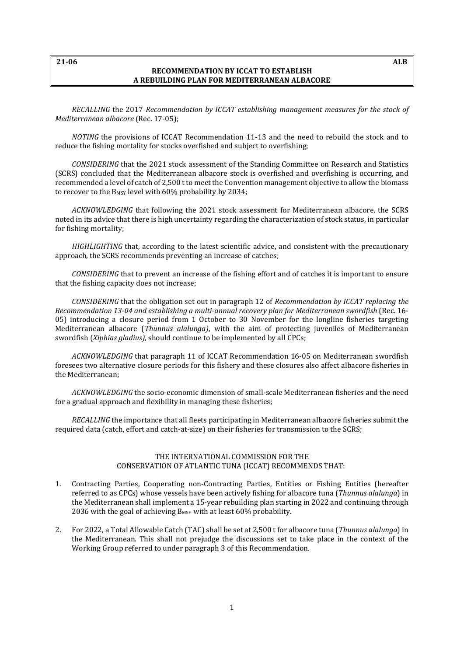## **21-06 ALB**

## **RECOMMENDATION BY ICCAT TO ESTABLISH A REBUILDING PLAN FOR MEDITERRANEAN ALBACORE**

*RECALLING* the 2017 *Recommendation by ICCAT establishing management measures for the stock of Mediterranean albacore* (Rec. 17-05);

*NOTING* the provisions of ICCAT Recommendation 11-13 and the need to rebuild the stock and to reduce the fishing mortality for stocks overfished and subject to overfishing;

*CONSIDERING* that the 2021 stock assessment of the Standing Committee on Research and Statistics (SCRS) concluded that the Mediterranean albacore stock is overfished and overfishing is occurring, and recommended a level of catch of 2,500 t to meet the Convention management objective to allow the biomass to recover to the B<sub>MSY</sub> level with 60% probability by 2034;

*ACKNOWLEDGING* that following the 2021 stock assessment for Mediterranean albacore, the SCRS noted in its advice that there is high uncertainty regarding the characterization of stock status, in particular for fishing mortality;

*HIGHLIGHTING* that, according to the latest scientific advice, and consistent with the precautionary approach, the SCRS recommends preventing an increase of catches;

*CONSIDERING* that to prevent an increase of the fishing effort and of catches it is important to ensure that the fishing capacity does not increase;

*CONSIDERING* that the obligation set out in paragraph 12 of *Recommendation by ICCAT replacing the Recommendation 13-04 and establishing a multi-annual recovery plan for Mediterranean swordfish* (Rec. 16- 05) introducing a closure period from 1 October to 30 November for the longline fisheries targeting Mediterranean albacore (*Thunnus alalunga)*, with the aim of protecting juveniles of Mediterranean swordfish (*Xiphias gladius),* should continue to be implemented by all CPCs;

*ACKNOWLEDGING* that paragraph 11 of ICCAT Recommendation 16-05 on Mediterranean swordfish foresees two alternative closure periods for this fishery and these closures also affect albacore fisheries in the Mediterranean;

*ACKNOWLEDGING* the socio-economic dimension of small-scale Mediterranean fisheries and the need for a gradual approach and flexibility in managing these fisheries;

*RECALLING* the importance that all fleets participating in Mediterranean albacore fisheries submit the required data (catch, effort and catch-at-size) on their fisheries for transmission to the SCRS;

## THE INTERNATIONAL COMMISSION FOR THE CONSERVATION OF ATLANTIC TUNA (ICCAT) RECOMMENDS THAT:

- 1. Contracting Parties, Cooperating non-Contracting Parties, Entities or Fishing Entities (hereafter referred to as CPCs) whose vessels have been actively fishing for albacore tuna (*Thunnus alalunga*) in the Mediterranean shall implement a 15-year rebuilding plan starting in 2022 and continuing through 2036 with the goal of achieving  $B_{MSY}$  with at least 60% probability.
- 2. For 2022, a Total Allowable Catch (TAC) shall be set at 2,500 t for albacore tuna (*Thunnus alalunga*) in the Mediterranean. This shall not prejudge the discussions set to take place in the context of the Working Group referred to under paragraph 3 of this Recommendation.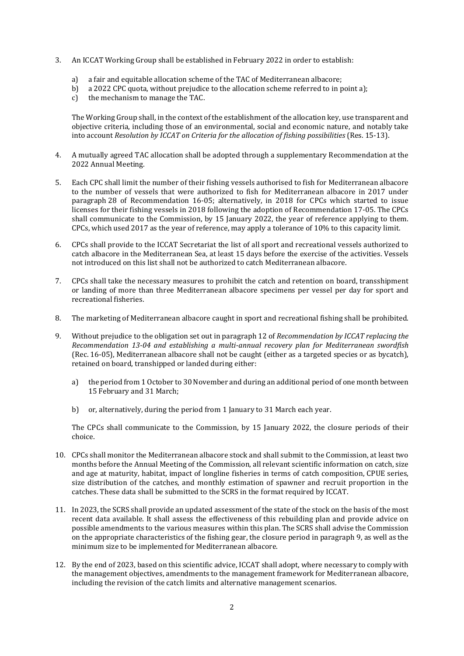- 3. An ICCAT Working Group shall be established in February 2022 in order to establish:
	- a) a fair and equitable allocation scheme of the TAC of Mediterranean albacore;<br>b) a 2022 CPC quota, without prejudice to the allocation scheme referred to in p
	- b) a 2022 CPC quota, without prejudice to the allocation scheme referred to in point a);<br>c) the mechanism to manage the TAC.
	- the mechanism to manage the TAC.

The Working Group shall, in the context of the establishment of the allocation key, use transparent and objective criteria, including those of an environmental, social and economic nature, and notably take into account *Resolution by ICCAT on Criteria for the allocation of fishing possibilities* (Res. 15-13).

- 4. A mutually agreed TAC allocation shall be adopted through a supplementary Recommendation at the 2022 Annual Meeting.
- 5. Each CPC shall limit the number of their fishing vessels authorised to fish for Mediterranean albacore to the number of vessels that were authorized to fish for Mediterranean albacore in 2017 under paragraph 28 of Recommendation 16-05; alternatively, in 2018 for CPCs which started to issue licenses for their fishing vessels in 2018 following the adoption of Recommendation 17-05. The CPCs shall communicate to the Commission, by 15 January 2022, the year of reference applying to them. CPCs, which used 2017 as the year of reference, may apply a tolerance of 10% to this capacity limit.
- 6. CPCs shall provide to the ICCAT Secretariat the list of all sport and recreational vessels authorized to catch albacore in the Mediterranean Sea, at least 15 days before the exercise of the activities. Vessels not introduced on this list shall not be authorized to catch Mediterranean albacore.
- 7. CPCs shall take the necessary measures to prohibit the catch and retention on board, transshipment or landing of more than three Mediterranean albacore specimens per vessel per day for sport and recreational fisheries.
- 8. The marketing of Mediterranean albacore caught in sport and recreational fishing shall be prohibited.
- 9. Without prejudice to the obligation set out in paragraph 12 of *Recommendation by ICCAT replacing the Recommendation 13-04 and establishing a multi-annual recovery plan for Mediterranean swordfish* (Rec. 16-05), Mediterranean albacore shall not be caught (either as a targeted species or as bycatch), retained on board, transhipped or landed during either:
	- a) the period from 1 October to 30 November and during an additional period of one month between 15 February and 31 March;
	- b) or, alternatively, during the period from 1 January to 31 March each year.

The CPCs shall communicate to the Commission, by 15 January 2022, the closure periods of their choice.

- 10. CPCs shall monitor the Mediterranean albacore stock and shall submit to the Commission, at least two months before the Annual Meeting of the Commission, all relevant scientific information on catch, size and age at maturity, habitat, impact of longline fisheries in terms of catch composition, CPUE series, size distribution of the catches, and monthly estimation of spawner and recruit proportion in the catches. These data shall be submitted to the SCRS in the format required by ICCAT.
- 11. In 2023, the SCRS shall provide an updated assessment of the state of the stock on the basis of the most recent data available. It shall assess the effectiveness of this rebuilding plan and provide advice on possible amendments to the various measures within this plan. The SCRS shall advise the Commission on the appropriate characteristics of the fishing gear, the closure period in paragraph 9, as well as the minimum size to be implemented for Mediterranean albacore.
- 12. By the end of 2023, based on this scientific advice, ICCAT shall adopt, where necessary to comply with the management objectives, amendments to the management framework for Mediterranean albacore, including the revision of the catch limits and alternative management scenarios.